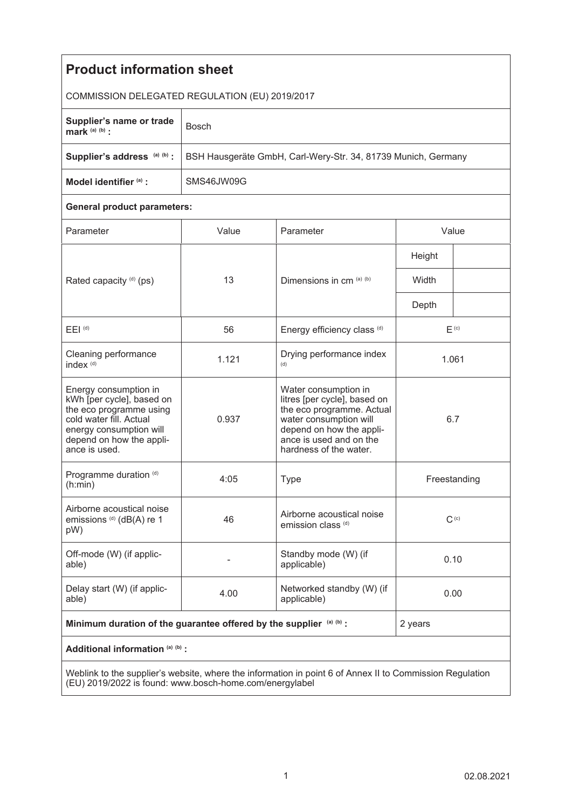| <b>Product information sheet</b>                                                                                                                                                 |                                                               |                                                                                                                                                                                              |              |  |
|----------------------------------------------------------------------------------------------------------------------------------------------------------------------------------|---------------------------------------------------------------|----------------------------------------------------------------------------------------------------------------------------------------------------------------------------------------------|--------------|--|
| COMMISSION DELEGATED REGULATION (EU) 2019/2017                                                                                                                                   |                                                               |                                                                                                                                                                                              |              |  |
| Supplier's name or trade<br>mark $(a)$ $(b)$ :                                                                                                                                   | <b>Bosch</b>                                                  |                                                                                                                                                                                              |              |  |
| Supplier's address (a) (b) :                                                                                                                                                     | BSH Hausgeräte GmbH, Carl-Wery-Str. 34, 81739 Munich, Germany |                                                                                                                                                                                              |              |  |
| Model identifier (a) :                                                                                                                                                           | SMS46JW09G                                                    |                                                                                                                                                                                              |              |  |
| <b>General product parameters:</b>                                                                                                                                               |                                                               |                                                                                                                                                                                              |              |  |
| Parameter                                                                                                                                                                        | Value                                                         | Parameter                                                                                                                                                                                    | Value        |  |
| Rated capacity (d) (ps)                                                                                                                                                          | 13                                                            | Dimensions in cm (a) (b)                                                                                                                                                                     | Height       |  |
|                                                                                                                                                                                  |                                                               |                                                                                                                                                                                              | Width        |  |
|                                                                                                                                                                                  |                                                               |                                                                                                                                                                                              | Depth        |  |
| $E EI$ <sup>(d)</sup>                                                                                                                                                            | 56                                                            | Energy efficiency class (d)                                                                                                                                                                  | $E^{(c)}$    |  |
| Cleaning performance<br>index <sup>(d)</sup>                                                                                                                                     | 1.121                                                         | Drying performance index<br>(d)                                                                                                                                                              | 1.061        |  |
| Energy consumption in<br>kWh [per cycle], based on<br>the eco programme using<br>cold water fill. Actual<br>energy consumption will<br>depend on how the appli-<br>ance is used. | 0.937                                                         | Water consumption in<br>litres [per cycle], based on<br>the eco programme. Actual<br>water consumption will<br>depend on how the appli-<br>ance is used and on the<br>hardness of the water. | 6.7          |  |
| Programme duration (d)<br>(h:min)                                                                                                                                                | 4:05                                                          | <b>Type</b>                                                                                                                                                                                  | Freestanding |  |
| Airborne acoustical noise<br>emissions <sup>(d)</sup> (dB(A) re 1<br>pW)                                                                                                         | 46                                                            | Airborne acoustical noise<br>emission class (d)                                                                                                                                              | $C^{(c)}$    |  |
| Off-mode (W) (if applic-<br>able)                                                                                                                                                |                                                               | Standby mode (W) (if<br>applicable)                                                                                                                                                          | 0.10         |  |
| Delay start (W) (if applic-<br>able)                                                                                                                                             | 4.00                                                          | Networked standby (W) (if<br>applicable)                                                                                                                                                     | 0.00         |  |
| Minimum duration of the guarantee offered by the supplier (a) (b) :                                                                                                              |                                                               |                                                                                                                                                                                              | 2 years      |  |
| Additional information (a) (b) :                                                                                                                                                 |                                                               |                                                                                                                                                                                              |              |  |
| Weblink to the supplier's website, where the information in point 6 of Annex II to Commission Regulation                                                                         |                                                               |                                                                                                                                                                                              |              |  |

Weblink to the supplier's website, where the information in point 6 of Annex II to Commission Regulation (EU) 2019/2022 is found: www.bosch-home.com/energylabel